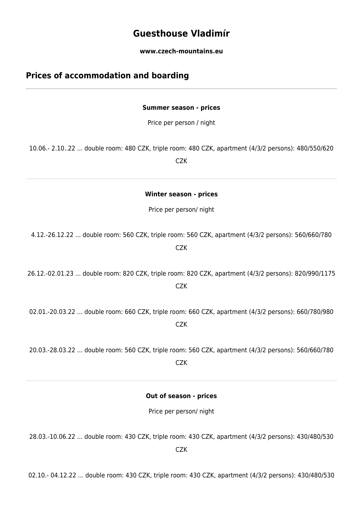# **Guesthouse Vladimír**

**www.czech-mountains.eu**

## **Prices of accommodation and boarding**

### **Summer season - prices**

Price per person / night

10.06.- 2.10..22 ... double room: 480 CZK, triple room: 480 CZK, apartment (4/3/2 persons): 480/550/620

**CZK** 

**Winter season - prices**

Price per person/ night

4.12.-26.12.22 ... double room: 560 CZK, triple room: 560 CZK, apartment (4/3/2 persons): 560/660/780 CZK

26.12.-02.01.23 ... double room: 820 CZK, triple room: 820 CZK, apartment (4/3/2 persons): 820/990/1175 CZK

02.01.-20.03.22 ... double room: 660 CZK, triple room: 660 CZK, apartment (4/3/2 persons): 660/780/980 **CZK** 

20.03.-28.03.22 ... double room: 560 CZK, triple room: 560 CZK, apartment (4/3/2 persons): 560/660/780 **CZK** 

**Out of season - prices**

Price per person/ night

28.03.-10.06.22 ... double room: 430 CZK, triple room: 430 CZK, apartment (4/3/2 persons): 430/480/530 CZK

02.10.- 04.12.22 ... double room: 430 CZK, triple room: 430 CZK, apartment (4/3/2 persons): 430/480/530